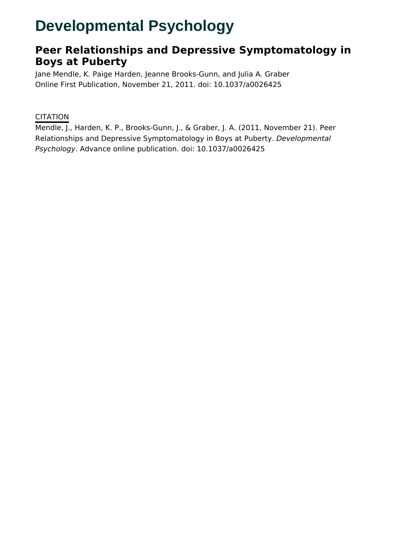# **Developmental Psychology**

# **Peer Relationships and Depressive Symptomatology in Boys at Puberty**

Jane Mendle, K. Paige Harden, Jeanne Brooks-Gunn, and Julia A. Graber Online First Publication, November 21, 2011. doi: 10.1037/a0026425

## **CITATION**

Mendle, J., Harden, K. P., Brooks-Gunn, J., & Graber, J. A. (2011, November 21). Peer Relationships and Depressive Symptomatology in Boys at Puberty. Developmental Psychology. Advance online publication. doi: 10.1037/a0026425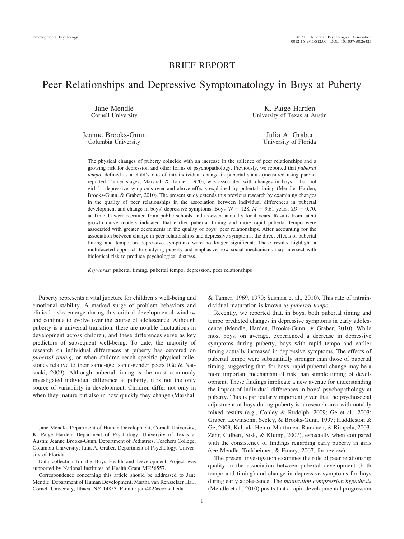### BRIEF REPORT

# Peer Relationships and Depressive Symptomatology in Boys at Puberty

Jane Mendle Cornell University

Jeanne Brooks-Gunn Columbia University

K. Paige Harden University of Texas at Austin

> Julia A. Graber University of Florida

The physical changes of puberty coincide with an increase in the salience of peer relationships and a growing risk for depression and other forms of psychopathology. Previously, we reported that *pubertal tempo*, defined as a child's rate of intraindividual change in pubertal status (measured using parentreported Tanner stages; Marshall & Tanner, 1970), was associated with changes in boys'—but not girls'—depressive symptoms over and above effects explained by pubertal timing (Mendle, Harden, Brooks-Gunn, & Graber, 2010). The present study extends this previous research by examining changes in the quality of peer relationships in the association between individual differences in pubertal development and change in boys' depressive symptoms. Boys ( $N = 128$ ,  $M = 9.61$  years,  $SD = 0.70$ , at Time 1) were recruited from public schools and assessed annually for 4 years. Results from latent growth curve models indicated that earlier pubertal timing and more rapid pubertal tempo were associated with greater decrements in the quality of boys' peer relationships. After accounting for the association between change in peer relationships and depressive symptoms, the direct effects of pubertal timing and tempo on depressive symptoms were no longer significant. These results highlight a multifaceted approach to studying puberty and emphasize how social mechanisms may intersect with biological risk to produce psychological distress.

*Keywords:* pubertal timing, pubertal tempo, depression, peer relationships

Puberty represents a vital juncture for children's well-being and emotional stability. A marked surge of problem behaviors and clinical risks emerge during this critical developmental window and continue to evolve over the course of adolescence. Although puberty is a universal transition, there are notable fluctuations in development across children, and these differences serve as key predictors of subsequent well-being. To date, the majority of research on individual differences at puberty has centered on *pubertal timing,* or when children reach specific physical milestones relative to their same-age, same-gender peers (Ge & Natsuaki, 2009). Although pubertal timing is the most commonly investigated individual difference at puberty, it is not the only source of variability in development. Children differ not only in when they mature but also in how quickly they change (Marshall

& Tanner, 1969, 1970; Susman et al., 2010). This rate of intraindividual maturation is known as *pubertal tempo.*

Recently, we reported that, in boys, both pubertal timing and tempo predicted changes in depressive symptoms in early adolescence (Mendle, Harden, Brooks-Gunn, & Graber, 2010). While most boys, on average, experienced a decrease in depressive symptoms during puberty, boys with rapid tempo and earlier timing actually increased in depressive symptoms. The effects of pubertal tempo were substantially stronger than those of pubertal timing, suggesting that, for boys, rapid pubertal change may be a more important mechanism of risk than simple timing of development. These findings implicate a new avenue for understanding the impact of individual differences in boys' psychopathology at puberty. This is particularly important given that the psychosocial adjustment of boys during puberty is a research area with notably mixed results (e.g., Conley & Rudolph, 2009; Ge et al., 2003; Graber, Lewinsohn, Seeley, & Brooks-Gunn, 1997; Huddleston & Ge, 2003; Kaltiala-Heino, Marttunen, Rantanen, & Rimpela, 2003; Zehr, Culbert, Sisk, & Klump, 2007), especially when compared with the consistency of findings regarding early puberty in girls (see Mendle, Turkheimer, & Emery, 2007, for review).

The present investigation examines the role of peer relationship quality in the association between pubertal development (both tempo and timing) and change in depressive symptoms for boys during early adolescence. The *maturation compression hypothesis* (Mendle et al., 2010) posits that a rapid developmental progression

Jane Mendle, Department of Human Development, Cornell University; K. Paige Harden, Department of Psychology, University of Texas at Austin; Jeanne Brooks-Gunn, Department of Pediatrics, Teachers College, Columbia University; Julia A. Graber, Department of Psychology, University of Florida.

Data collection for the Boys Health and Development Project was supported by National Institutes of Health Grant MH56557.

Correspondence concerning this article should be addressed to Jane Mendle, Department of Human Development, Martha van Rensselaer Hall, Cornell University, Ithaca, NY 14853. E-mail: jem482@cornell.edu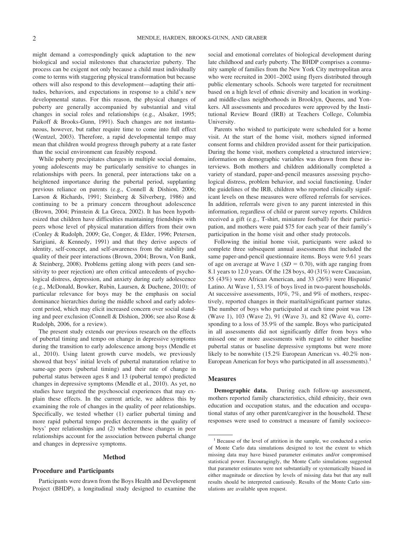might demand a correspondingly quick adaptation to the new biological and social milestones that characterize puberty. The process can be exigent not only because a child must individually come to terms with staggering physical transformation but because others will also respond to this development—adapting their attitudes, behaviors, and expectations in response to a child's new developmental status. For this reason, the physical changes of puberty are generally accompanied by substantial and vital changes in social roles and relationships (e.g., Alsaker, 1995; Paikoff & Brooks-Gunn, 1991). Such changes are not instantaneous, however, but rather require time to come into full effect (Wentzel, 2003). Therefore, a rapid developmental tempo may mean that children would progress through puberty at a rate faster than the social environment can feasibly respond.

While puberty precipitates changes in multiple social domains, young adolescents may be particularly sensitive to changes in relationships with peers. In general, peer interactions take on a heightened importance during the pubertal period, supplanting previous reliance on parents (e.g., Connell & Dishion, 2006; Larson & Richards, 1991; Steinberg & Silverberg, 1986) and continuing to be a primary concern throughout adolescence (Brown, 2004; Prinstein & La Greca, 2002). It has been hypothesized that children have difficulties maintaining friendships with peers whose level of physical maturation differs from their own (Conley & Rudolph, 2009; Ge, Conger, & Elder, 1996; Petersen, Sarigiani, & Kennedy, 1991) and that they derive aspects of identity, self-concept, and self-awareness from the stability and quality of their peer interactions (Brown, 2004; Brown, Von Bank, & Steinberg, 2008). Problems getting along with peers (and sensitivity to peer rejection) are often critical antecedents of psychological distress, depression, and anxiety during early adolescence (e.g., McDonald, Bowker, Rubin, Laursen, & Duchene, 2010); of particular relevance for boys may be the emphasis on social dominance hierarchies during the middle school and early adolescent period, which may elicit increased concern over social standing and peer exclusion (Connell & Dishion, 2006; see also Rose & Rudolph, 2006, for a review).

The present study extends our previous research on the effects of pubertal timing and tempo on change in depressive symptoms during the transition to early adolescence among boys (Mendle et al., 2010). Using latent growth curve models, we previously showed that boys' initial levels of pubertal maturation relative to same-age peers (pubertal timing) and their rate of change in pubertal status between ages 8 and 13 (pubertal tempo) predicted changes in depressive symptoms (Mendle et al., 2010). As yet, no studies have targeted the psychosocial experiences that may explain these effects. In the current article, we address this by examining the role of changes in the quality of peer relationships. Specifically, we tested whether (1) earlier pubertal timing and more rapid pubertal tempo predict decrements in the quality of boys' peer relationships and (2) whether these changes in peer relationships account for the association between pubertal change and changes in depressive symptoms.

#### **Method**

#### **Procedure and Participants**

Participants were drawn from the Boys Health and Development Project (BHDP), a longitudinal study designed to examine the

social and emotional correlates of biological development during late childhood and early puberty. The BHDP comprises a community sample of families from the New York City metropolitan area who were recruited in 2001–2002 using flyers distributed through public elementary schools. Schools were targeted for recruitment based on a high level of ethnic diversity and location in workingand middle-class neighborhoods in Brooklyn, Queens, and Yonkers. All assessments and procedures were approved by the Institutional Review Board (IRB) at Teachers College, Columbia University.

Parents who wished to participate were scheduled for a home visit. At the start of the home visit, mothers signed informed consent forms and children provided assent for their participation. During the home visit, mothers completed a structured interview; information on demographic variables was drawn from these interviews. Both mothers and children additionally completed a variety of standard, paper-and-pencil measures assessing psychological distress, problem behavior, and social functioning. Under the guidelines of the IRB, children who reported clinically significant levels on these measures were offered referrals for services. In addition, referrals were given to any parent interested in this information, regardless of child or parent survey reports. Children received a gift (e.g., T-shirt, miniature football) for their participation, and mothers were paid \$75 for each year of their family's participation in the home visit and other study protocols.

Following the initial home visit, participants were asked to complete three subsequent annual assessments that included the same paper-and-pencil questionnaire items. Boys were 9.61 years of age on average at Wave 1 ( $SD = 0.70$ ), with age ranging from 8.1 years to 12.0 years. Of the 128 boys, 40 (31%) were Caucasian, 55 (43%) were African American, and 33 (26%) were Hispanic/ Latino. At Wave 1, 53.1% of boys lived in two-parent households. At successive assessments, 10%, 7%, and 9% of mothers, respectively, reported changes in their marital/significant partner status. The number of boys who participated at each time point was 128 (Wave 1), 103 (Wave 2), 91 (Wave 3), and 82 (Wave 4), corresponding to a loss of 35.9% of the sample. Boys who participated in all assessments did not significantly differ from boys who missed one or more assessments with regard to either baseline pubertal status or baseline depressive symptoms but were more likely to be nonwhite (15.2% European American vs. 40.2% non-European American for boys who participated in all assessments).<sup>1</sup>

#### **Measures**

**Demographic data.** During each follow-up assessment, mothers reported family characteristics, child ethnicity, their own education and occupation status, and the education and occupational status of any other parent/caregiver in the household. These responses were used to construct a measure of family socioeco-

<sup>&</sup>lt;sup>1</sup> Because of the level of attrition in the sample, we conducted a series of Monte Carlo data simulations designed to test the extent to which missing data may have biased parameter estimates and/or compromised statistical power. Encouragingly, the Monte Carlo simulations suggested that parameter estimates were not substantially or systematically biased in either magnitude or direction by levels of missing data but that any null results should be interpreted cautiously. Results of the Monte Carlo simulations are available upon request.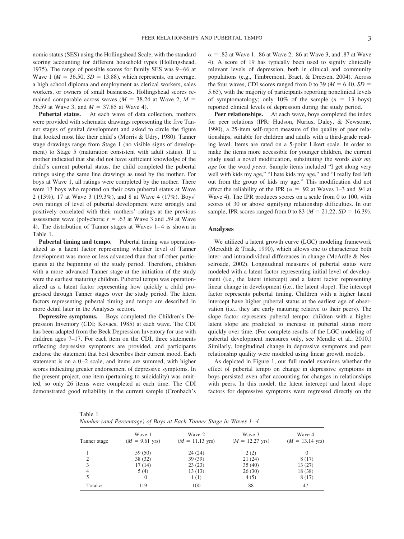nomic status (SES) using the Hollingshead Scale, with the standard scoring accounting for different household types (Hollingshead, 1975). The range of possible scores for family SES was 9–66 at Wave 1 ( $M = 36.50$ ,  $SD = 13.88$ ), which represents, on average, a high school diploma and employment as clerical workers, sales workers, or owners of small businesses. Hollingshead scores remained comparable across waves ( $M = 38.24$  at Wave 2,  $M =$ 36.59 at Wave 3, and  $M = 37.85$  at Wave 4).

**Pubertal status.** At each wave of data collection, mothers were provided with schematic drawings representing the five Tanner stages of genital development and asked to circle the figure that looked most like their child's (Morris & Udry, 1980). Tanner stage drawings range from Stage 1 (no visible signs of development) to Stage 5 (maturation consistent with adult status). If a mother indicated that she did not have sufficient knowledge of the child's current pubertal status, the child completed the pubertal ratings using the same line drawings as used by the mother. For boys at Wave 1, all ratings were completed by the mother. There were 13 boys who reported on their own pubertal status at Wave 2 (13%), 17 at Wave 3 (19.3%), and 8 at Wave 4 (17%). Boys' own ratings of level of pubertal development were strongly and positively correlated with their mothers' ratings at the previous assessment wave (polychoric  $r = .63$  at Wave 3 and .59 at Wave 4). The distribution of Tanner stages at Waves 1–4 is shown in Table 1.

**Pubertal timing and tempo.** Pubertal timing was operationalized as a latent factor representing whether level of Tanner development was more or less advanced than that of other participants at the beginning of the study period. Therefore, children with a more advanced Tanner stage at the initiation of the study were the earliest maturing children. Pubertal tempo was operationalized as a latent factor representing how quickly a child progressed through Tanner stages over the study period. The latent factors representing pubertal timing and tempo are described in more detail later in the Analyses section.

**Depressive symptoms.** Boys completed the Children's Depression Inventory (CDI; Kovacs, 1985) at each wave. The CDI has been adapted from the Beck Depression Inventory for use with children ages 7–17. For each item on the CDI, three statements reflecting depressive symptoms are provided, and participants endorse the statement that best describes their current mood. Each statement is on a 0–2 scale, and items are summed, with higher scores indicating greater endorsement of depressive symptoms. In the present project, one item (pertaining to suicidality) was omitted, so only 26 items were completed at each time. The CDI demonstrated good reliability in the current sample (Cronbach's

 $\alpha = .82$  at Wave 1, .86 at Wave 2, .86 at Wave 3, and .87 at Wave 4). A score of 19 has typically been used to signify clinically relevant levels of depression, both in clinical and community populations (e.g., Timbremont, Braet, & Dreesen, 2004). Across the four waves, CDI scores ranged from 0 to 39 ( $M = 6.40$ ,  $SD =$ 5.65), with the majority of participants reporting nonclinical levels of symptomatology; only 10% of the sample  $(n = 13$  boys) reported clinical levels of depression during the study period.

Peer relationships. At each wave, boys completed the index for peer relations (IPR; Hudson, Nurius, Daley, & Newsome, 1990), a 25-item self-report measure of the quality of peer relationships, suitable for children and adults with a third-grade reading level. Items are rated on a 5-point Likert scale. In order to make the items more accessible for younger children, the current study used a novel modification, substituting the words *kids my age* for the word *peers.* Sample items included "I get along very well with kids my age," "I hate kids my age," and "I really feel left out from the group of kids my age." This modification did not affect the reliability of the IPR ( $\alpha$  = .92 at Waves 1–3 and .94 at Wave 4). The IPR produces scores on a scale from 0 to 100, with scores of 30 or above signifying relationship difficulties. In our sample, IPR scores ranged from 0 to 83 ( $M = 21.22$ ,  $SD = 16.39$ ).

#### **Analyses**

We utilized a latent growth curve (LGC) modeling framework (Meredith & Tisak, 1990), which allows one to characterize both inter- and intraindividual differences in change (McArdle & Nesselroade, 2002). Longitudinal measures of pubertal status were modeled with a latent factor representing initial level of development (i.e., the latent intercept) and a latent factor representing linear change in development (i.e., the latent slope). The intercept factor represents pubertal timing. Children with a higher latent intercept have higher pubertal status at the earliest age of observation (i.e., they are early maturing relative to their peers). The slope factor represents pubertal tempo; children with a higher latent slope are predicted to increase in pubertal status more quickly over time. (For complete results of the LGC modeling of pubertal development measures only, see Mendle et al., 2010.) Similarly, longitudinal change in depressive symptoms and peer relationship quality were modeled using linear growth models.

As depicted in Figure 1, our full model examines whether the effect of pubertal tempo on change in depressive symptoms in boys persisted even after accounting for changes in relationships with peers. In this model, the latent intercept and latent slope factors for depressive symptoms were regressed directly on the

Table 1 *Number (and Percentage) of Boys at Each Tanner Stage in Waves 1– 4*

| Tanner stage | Wave 1<br>$(M = 9.61$ yrs) | Wave 2<br>$(M = 11.13$ yrs) | Wave 3<br>$(M = 12.27$ yrs) | Wave 4<br>$(M = 13.14$ yrs) |
|--------------|----------------------------|-----------------------------|-----------------------------|-----------------------------|
|              | 59 (50)                    | 24(24)                      | 2(2)                        |                             |
| 2            | 38(32)                     | 39(39)                      | 21(24)                      | 8(17)                       |
| 3            | 17(14)                     | 23(23)                      | 35(40)                      | 13(27)                      |
| 4            | 5(4)                       | 13(13)                      | 26(30)                      | 18 (38)                     |
| 5            | 0                          | 1(1)                        | 4(5)                        | 8(17)                       |
| Total $n$    | 119                        | 100                         | 88                          | 47                          |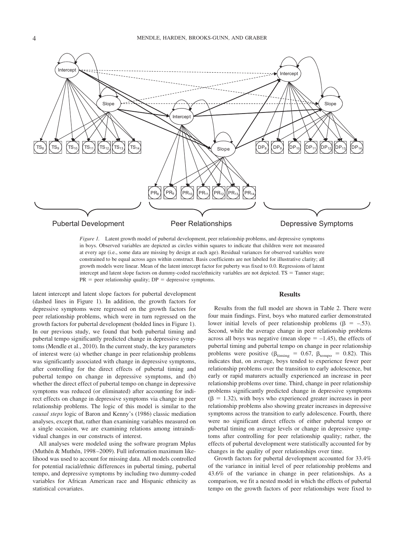

*Figure 1.* Latent growth model of pubertal development, peer relationship problems, and depressive symptoms in boys. Observed variables are depicted as circles within squares to indicate that children were not measured at every age (i.e., some data are missing by design at each age). Residual variances for observed variables were constrained to be equal across ages within construct. Basis coefficients are not labeled for illustrative clarity; all growth models were linear. Mean of the latent intercept factor for puberty was fixed to 0.0. Regressions of latent intercept and latent slope factors on dummy-coded race/ethnicity variables are not depicted. TS = Tanner stage;  $PR$  = peer relationship quality;  $DP$  = depressive symptoms.

latent intercept and latent slope factors for pubertal development (dashed lines in Figure 1). In addition, the growth factors for depressive symptoms were regressed on the growth factors for peer relationship problems, which were in turn regressed on the growth factors for pubertal development (bolded lines in Figure 1). In our previous study, we found that both pubertal timing and pubertal tempo significantly predicted change in depressive symptoms (Mendle et al., 2010). In the current study, the key parameters of interest were (a) whether change in peer relationship problems was significantly associated with change in depressive symptoms, after controlling for the direct effects of pubertal timing and pubertal tempo on change in depressive symptoms, and (b) whether the direct effect of pubertal tempo on change in depressive symptoms was reduced (or eliminated) after accounting for indirect effects on change in depressive symptoms via change in peer relationship problems. The logic of this model is similar to the *causal steps* logic of Baron and Kenny's (1986) classic mediation analyses, except that, rather than examining variables measured on a single occasion, we are examining relations among intraindividual changes in our constructs of interest.

All analyses were modeled using the software program Mplus (Muthén & Muthén, 1998–2009). Full information maximum likelihood was used to account for missing data. All models controlled for potential racial/ethnic differences in pubertal timing, pubertal tempo, and depressive symptoms by including two dummy-coded variables for African American race and Hispanic ethnicity as statistical covariates.

#### **Results**

Results from the full model are shown in Table 2. There were four main findings. First, boys who matured earlier demonstrated lower initial levels of peer relationship problems ( $\beta = -.53$ ). Second, while the average change in peer relationship problems across all boys was negative (mean slope  $= -1.45$ ), the effects of pubertal timing and pubertal tempo on change in peer relationship problems were positive ( $\beta_{\text{tuning}} = 0.67$ ,  $\beta_{\text{tempo}} = 0.82$ ). This indicates that, on average, boys tended to experience fewer peer relationship problems over the transition to early adolescence, but early or rapid maturers actually experienced an increase in peer relationship problems over time. Third, change in peer relationship problems significantly predicted change in depressive symptoms  $(\beta = 1.32)$ , with boys who experienced greater increases in peer relationship problems also showing greater increases in depressive symptoms across the transition to early adolescence. Fourth, there were no significant direct effects of either pubertal tempo or pubertal timing on average levels or change in depressive symptoms after controlling for peer relationship quality; rather, the effects of pubertal development were statistically accounted for by changes in the quality of peer relationships over time.

Growth factors for pubertal development accounted for 33.4% of the variance in initial level of peer relationship problems and 43.6% of the variance in change in peer relationships. As a comparison, we fit a nested model in which the effects of pubertal tempo on the growth factors of peer relationships were fixed to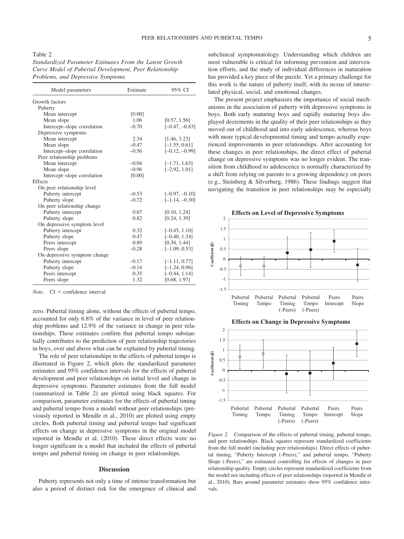Table 2

*Standardized Parameter Estimates From the Latent Growth Curve Model of Pubertal Development, Peer Relationship Problems, and Depressive Symptoms*

| Model parameters             | Estimate | 95% CI           |
|------------------------------|----------|------------------|
| Growth factors               |          |                  |
| Puberty                      |          |                  |
| Mean intercept               | [0.00]   |                  |
| Mean slope                   | 1.06     | [0.57, 1.56]     |
| Intercept-slope correlation  | $-0.70$  | $[-0.47, -0.83]$ |
| Depressive symptoms          |          |                  |
| Mean intercept               | 2.34     | [1.46, 3.23]     |
| Mean slope                   | $-0.47$  | $[-1.55, 0.61]$  |
| Intercept-slope correlation  | $-0.56$  | $[-0.12, -0.99]$ |
| Peer relationship problems   |          |                  |
| Mean intercept               | $-0.04$  | $[-1.71, 1.63]$  |
| Mean slope                   | $-0.96$  | $[-2.92, 1.01]$  |
| Intercept-slope correlation  | [0.00]   |                  |
| <b>Effects</b>               |          |                  |
| On peer relationship level   |          |                  |
| Puberty intercept            | $-0.53$  | $[-0.97, -0.10]$ |
| Puberty slope                | $-0.72$  | $[-1.14, -0.30]$ |
| On peer relationship change  |          |                  |
| Puberty intercept            | 0.67     | [0.10, 1.24]     |
| Puberty slope                | 0.82     | [0.24, 1.39]     |
| On depressive symptom level  |          |                  |
| Puberty intercept            | 0.32     | $[-0.45, 1.10]$  |
| Puberty slope                | 0.47     | $[-0.40, 1.34]$  |
| Peers intercept              | 0.89     | [0.34, 1.44]     |
| Peers slope                  | $-0.28$  | $[-1.09, 0.53]$  |
| On depressive symptom change |          |                  |
| Puberty intercept            | $-0.17$  | $[-1.11, 0.77]$  |
| Puberty slope                | $-0.14$  | $[-1.24, 0.96]$  |
| Peers intercept              | 0.35     | $[-0.44, 1.14]$  |
| Peers slope                  | 1.32     | [0.68, 1.97]     |

*Note.*  $CI = confidence interval.$ 

zero. Pubertal timing alone, without the effects of pubertal tempo, accounted for only 6.8% of the variance in level of peer relationship problems and 12.9% of the variance in change in peer relationships. These estimates confirm that pubertal tempo substantially contributes to the prediction of peer relationship trajectories in boys, over and above what can be explained by pubertal timing.

The role of peer relationships in the effects of pubertal tempo is illustrated in Figure 2, which plots the standardized parameter estimates and 95% confidence intervals for the effects of pubertal development and peer relationships on initial level and change in depressive symptoms. Parameter estimates from the full model (summarized in Table 2) are plotted using black squares. For comparison, parameter estimates for the effects of pubertal timing and pubertal tempo from a model without peer relationships (previously reported in Mendle et al., 2010) are plotted using empty circles. Both pubertal timing and pubertal tempo had significant effects on change in depressive symptoms in the original model reported in Mendle et al. (2010). These direct effects were no longer significant in a model that included the effects of pubertal tempo and pubertal timing on change in peer relationships.

#### **Discussion**

Puberty represents not only a time of intense transformation but also a period of distinct risk for the emergence of clinical and subclinical symptomatology. Understanding which children are most vulnerable is critical for informing prevention and intervention efforts, and the study of individual differences in maturation has provided a key piece of the puzzle. Yet a primary challenge for this work is the nature of puberty itself, with its nexus of interrelated physical, social, and emotional changes.

The present project emphasizes the importance of social mechanisms in the association of puberty with depressive symptoms in boys. Both early maturing boys and rapidly maturing boys displayed decrements in the quality of their peer relationships as they moved out of childhood and into early adolescence, whereas boys with more typical developmental timing and tempo actually experienced improvements in peer relationships. After accounting for these changes in peer relationships, the direct effect of pubertal change on depressive symptoms was no longer evident. The transition from childhood to adolescence is normally characterized by a shift from relying on parents to a growing dependency on peers (e.g., Steinberg & Silverberg, 1986). These findings suggest that navigating the transition in peer relationships may be especially





*Figure 2.* Comparison of the effects of pubertal timing, pubertal tempo, and peer relationships. Black squares represent standardized coefficients from the full model (including peer relationships). Direct effects of pubertal timing, "Puberty Intercept (-Peers)," and pubertal tempo, "Puberty Slope (-Peers)," are estimated controlling for effects of changes in peer relationship quality. Empty circles represent standardized coefficients from the model not including effects of peer relationships (reported in Mendle et al., 2010). Bars around parameter estimates show 95% confidence intervals.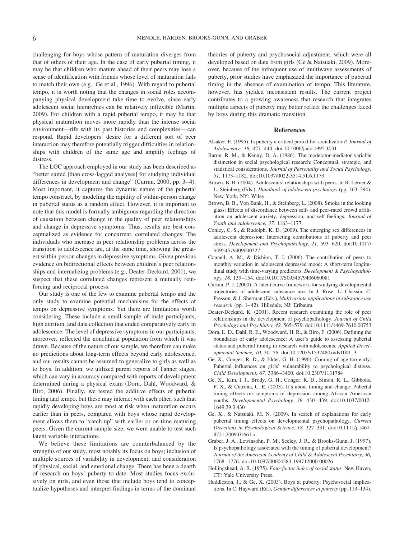challenging for boys whose pattern of maturation diverges from that of others of their age. In the case of early pubertal timing, it may be that children who mature ahead of their peers may lose a sense of identification with friends whose level of maturation fails to match their own (e.g., Ge et al., 1996). With regard to pubertal tempo, it is worth noting that the changes in social roles accompanying physical development take time to evolve, since early adolescent social hierarchies can be relatively inflexible (Martin, 2009). For children with a rapid pubertal tempo, it may be that physical maturation moves more rapidly than the intense social environment—rife with its past histories and complexities—can respond. Rapid developers' desire for a different sort of peer interaction may therefore potentially trigger difficulties in relationships with children of the same age and amplify feelings of distress.

The LGC approach employed in our study has been described as "better suited [than cross-lagged analyses] for studying individual differences in development and change" (Curran, 2000, pp. 3–4). Most important, it captures the dynamic nature of the pubertal tempo construct, by modeling the rapidity of within-person change in pubertal status as a random effect. However, it is important to note that this model is formally ambiguous regarding the direction of causation between change in the quality of peer relationships and change in depressive symptoms. Thus, results are best conceptualized as evidence for concurrent, correlated changes: The individuals who increase in peer relationship problems across the transition to adolescence are, at the same time, showing the greatest within-person changes in depressive symptoms. Given previous evidence on bidirectional effects between children's peer relationships and internalizing problems (e.g., Deater-Deckard, 2001), we suspect that these correlated changes represent a mutually reinforcing and reciprocal process.

Our study is one of the few to examine pubertal tempo and the only study to examine potential mechanisms for the effects of tempo on depressive symptoms. Yet there are limitations worth considering. These include a small sample of male participants, high attrition, and data collection that ended comparatively early in adolescence. The level of depressive symptoms in our participants, moreover, reflected the nonclinical population from which it was drawn. Because of the nature of our sample, we therefore can make no predictions about long-term effects beyond early adolescence, and our results cannot be assumed to generalize to girls as well as to boys. In addition, we utilized parent reports of Tanner stages, which can vary in accuracy compared with reports of development determined during a physical exam (Dorn, Dahl, Woodward, & Biro, 2006). Finally, we tested the additive effects of pubertal timing and tempo, but these may interact with each other, such that rapidly developing boys are most at risk when maturation occurs earlier than in peers, compared with boys whose rapid development allows them to "catch up" with earlier or on-time maturing peers. Given the current sample size, we were unable to test such latent variable interactions.

We believe these limitations are counterbalanced by the strengths of our study, most notably its focus on boys; inclusion of multiple sources of variability in development; and consideration of physical, social, and emotional change. There has been a dearth of research on boys' puberty to date. Most studies focus exclusively on girls, and even those that include boys tend to conceptualize hypotheses and interpret findings in terms of the dominant theories of puberty and psychosocial adjustment, which were all developed based on data from girls (Ge & Natsuaki, 2009). Moreover, because of the infrequent use of multiwave assessments of puberty, prior studies have emphasized the importance of pubertal timing in the absence of examination of tempo. This literature, however, has yielded inconsistent results. The current project contributes to a growing awareness that research that integrates multiple aspects of puberty may better reflect the challenges faced by boys during this dramatic transition.

#### **References**

- Alsaker, F. (1995). Is puberty a critical period for socialization? *Journal of Adolescence, 18,* 427–444. doi:10.1006/jado.1995.1031
- Baron, R. M., & Kenny, D. A. (1986). The moderator-mediator variable distinction in social psychological research: Conceptual, strategic, and statistical considerations. *Journal of Personality and Social Psychology, 51,* 1173–1182. doi:10.1037/0022-3514.51.6.1173
- Brown, B. B. (2004). Adolescents' relationships with peers. In R. Lerner & L. Steinberg (Eds.), *Handbook of adolescent psychology* (pp. 363–394). New York, NY: Wiley.
- Brown, B. B., Von Bank, H., & Steinberg, L. (2008). Smoke in the looking glass: Effects of discordance between self- and peer-rated crowd affiliation on adolescent anxiety, depression, and self-feelings. *Journal of Youth and Adolescence, 37,* 1163–1177.
- Conley, C. S., & Rudolph, K. D. (2009). The emerging sex differences in adolescent depression: Interacting contributions of puberty and peer stress. *Development and Psychopathology, 21,* 593–620. doi:10.1017/ S0954579409000327
- Connell, A. M., & Dishion, T. J. (2006). The contribution of peers to monthly variation in adolescent depressed mood: A short-term longitudinal study with time-varying predictors. *Development & Psychopathology, 18,* 139–154. doi:10.1017/S0954579406060081
- Curran, P. J. (2000). A latent curve framework for studying developmental trajectories of adolescent substance use. In J. Rose, L. Chassin, C. Presson, & J. Sherman (Eds.), *Multivariate applications in substance use research* (pp. 1–42). Hillsdale, NJ: Erlbaum.
- Deater-Deckard, K. (2001). Recent research examining the role of peer relationships in the development of psychopathology. *Journal of Child Psychology and Psychiatry, 42,* 565–579. doi:10.1111/1469-7610.00753
- Dorn, L. D., Dahl, R. E., Woodward, H. R., & Biro, F. (2006). Defining the boundaries of early adolescence: A user's guide to assessing pubertal status and pubertal timing in research with adolescents. *Applied Developmental Science, 10,* 30–56. doi:10.1207/s1532480xads1001\_3
- Ge, X., Conger, R. D., & Elder, G. H. (1996). Coming of age too early: Pubertal influences on girls' vulnerability to psychological distress. *Child Development, 67,* 3386–3400. doi:10.2307/1131784
- Ge, X., Kim, I. J., Brody, G. H., Conger, R. D., Simon, R. L., Gibbons, F. X., & Cutrona, C. E. (2003). It's about timing and change: Pubertal timing effects on symptoms of depression among African American youths. *Developmental Psychology, 39,* 430–439. doi:10.1037/0012- 1649.39.3.430
- Ge, X., & Natsuaki, M. N. (2009). In search of explanations for early pubertal timing effects on developmental psychopathology. *Current Directions in Psychological Science, 18,* 327–331. doi:10.1111/j.1467- 8721.2009.01661.x
- Graber, J. A., Lewinsohn, P. M., Seeley, J. R., & Brooks-Gunn, J. (1997). Is psychopathology associated with the timing of pubertal development? *Journal of the American Academy of Child & Adolescent Psychiatry, 36,* 1768–1776. doi:10.1097/00004583-199712000-00026
- Hollingshead, A. B. (1975). *Four-factor index of social status.* New Haven, CT: Yale University Press.
- Huddleston, J., & Ge, X. (2003). Boys at puberty: Psychosocial implications. In C. Hayward (Ed.), *Gender differences at puberty* (pp. 113–134).